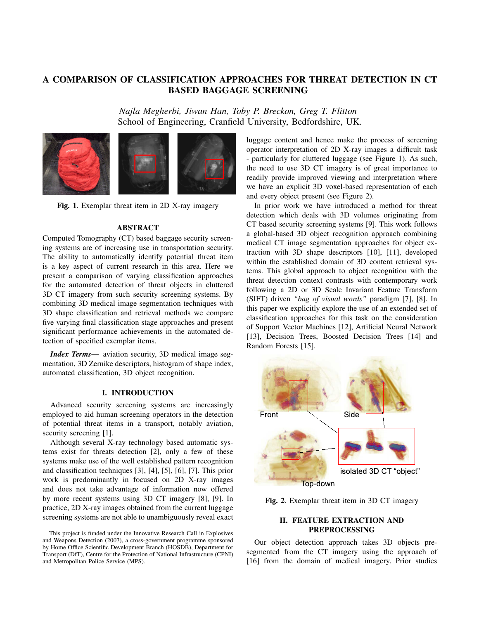# A COMPARISON OF CLASSIFICATION APPROACHES FOR THREAT DETECTION IN CT BASED BAGGAGE SCREENING

*Najla Megherbi, Jiwan Han, Toby P. Breckon, Greg T. Flitton* School of Engineering, Cranfield University, Bedfordshire, UK.



Fig. 1. Exemplar threat item in 2D X-ray imagery

# **ABSTRACT**

Computed Tomography (CT) based baggage security screening systems are of increasing use in transportation security. The ability to automatically identify potential threat item is a key aspect of current research in this area. Here we present a comparison of varying classification approaches for the automated detection of threat objects in cluttered 3D CT imagery from such security screening systems. By combining 3D medical image segmentation techniques with 3D shape classification and retrieval methods we compare five varying final classification stage approaches and present significant performance achievements in the automated detection of specified exemplar items.

*Index Terms*— aviation security, 3D medical image segmentation, 3D Zernike descriptors, histogram of shape index, automated classification, 3D object recognition.

### I. INTRODUCTION

Advanced security screening systems are increasingly employed to aid human screening operators in the detection of potential threat items in a transport, notably aviation, security screening [1].

Although several X-ray technology based automatic systems exist for threats detection [2], only a few of these systems make use of the well established pattern recognition and classification techniques [3], [4], [5], [6], [7]. This prior work is predominantly in focused on 2D X-ray images and does not take advantage of information now offered by more recent systems using 3D CT imagery [8], [9]. In practice, 2D X-ray images obtained from the current luggage screening systems are not able to unambiguously reveal exact luggage content and hence make the process of screening operator interpretation of 2D X-ray images a difficult task - particularly for cluttered luggage (see Figure 1). As such, the need to use 3D CT imagery is of great importance to readily provide improved viewing and interpretation where we have an explicit 3D voxel-based representation of each and every object present (see Figure 2).

In prior work we have introduced a method for threat detection which deals with 3D volumes originating from CT based security screening systems [9]. This work follows a global-based 3D object recognition approach combining medical CT image segmentation approaches for object extraction with 3D shape descriptors [10], [11], developed within the established domain of 3D content retrieval systems. This global approach to object recognition with the threat detection context contrasts with contemporary work following a 2D or 3D Scale Invariant Feature Transform (SIFT) driven *"bag of visual words"* paradigm [7], [8]. In this paper we explicitly explore the use of an extended set of classification approaches for this task on the consideration of Support Vector Machines [12], Artificial Neural Network [13], Decision Trees, Boosted Decision Trees [14] and Random Forests [15].



Fig. 2. Exemplar threat item in 3D CT imagery

# II. FEATURE EXTRACTION AND PREPROCESSING

Our object detection approach takes 3D objects presegmented from the CT imagery using the approach of [16] from the domain of medical imagery. Prior studies

This project is funded under the Innovative Research Call in Explosives and Weapons Detection (2007), a cross-government programme sponsored by Home Office Scientific Development Branch (HOSDB), Department for Transport (DfT), Centre for the Protection of National Infrastructure (CPNI) and Metropolitan Police Service (MPS).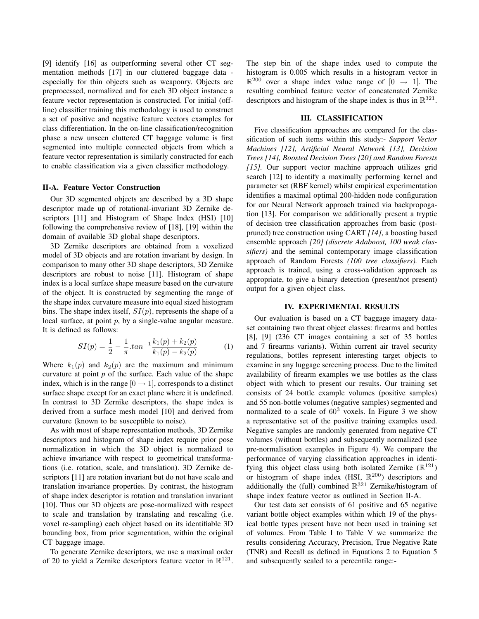[9] identify [16] as outperforming several other CT segmentation methods [17] in our cluttered baggage data especially for thin objects such as weaponry. Objects are preprocessed, normalized and for each 3D object instance a feature vector representation is constructed. For initial (offline) classifier training this methodology is used to construct a set of positive and negative feature vectors examples for class differentiation. In the on-line classification/recognition phase a new unseen cluttered CT baggage volume is first segmented into multiple connected objects from which a feature vector representation is similarly constructed for each to enable classification via a given classifier methodology.

#### II-A. Feature Vector Construction

Our 3D segmented objects are described by a 3D shape descriptor made up of rotational-invariant 3D Zernike descriptors [11] and Histogram of Shape Index (HSI) [10] following the comprehensive review of [18], [19] within the domain of available 3D global shape descriptors.

3D Zernike descriptors are obtained from a voxelized model of 3D objects and are rotation invariant by design. In comparison to many other 3D shape descriptors, 3D Zernike descriptors are robust to noise [11]. Histogram of shape index is a local surface shape measure based on the curvature of the object. It is constructed by segmenting the range of the shape index curvature measure into equal sized histogram bins. The shape index itself,  $SI(p)$ , represents the shape of a local surface, at point  $p$ , by a single-value angular measure. It is defined as follows:

$$
SI(p) = \frac{1}{2} - \frac{1}{\pi} \cdot \tan^{-1} \frac{k_1(p) + k_2(p)}{k_1(p) - k_2(p)} \tag{1}
$$

Where  $k_1(p)$  and  $k_2(p)$  are the maximum and minimum curvature at point *p* of the surface. Each value of the shape index, which is in the range  $[0 \rightarrow 1]$ , corresponds to a distinct surface shape except for an exact plane where it is undefined. In contrast to 3D Zernike descriptors, the shape index is derived from a surface mesh model [10] and derived from curvature (known to be susceptible to noise).

As with most of shape representation methods, 3D Zernike descriptors and histogram of shape index require prior pose normalization in which the 3D object is normalized to achieve invariance with respect to geometrical transformations (i.e. rotation, scale, and translation). 3D Zernike descriptors [11] are rotation invariant but do not have scale and translation invariance properties. By contrast, the histogram of shape index descriptor is rotation and translation invariant [10]. Thus our 3D objects are pose-normalized with respect to scale and translation by translating and rescaling (i.e. voxel re-sampling) each object based on its identifiable 3D bounding box, from prior segmentation, within the original CT baggage image.

To generate Zernike descriptors, we use a maximal order of 20 to yield a Zernike descriptors feature vector in  $\mathbb{R}^{121}$ . The step bin of the shape index used to compute the histogram is 0.005 which results in a histogram vector in  $\mathbb{R}^{200}$  over a shape index value range of  $[0 \rightarrow 1]$ . The resulting combined feature vector of concatenated Zernike descriptors and histogram of the shape index is thus in  $\mathbb{R}^{321}$ .

#### III. CLASSIFICATION

Five classification approaches are compared for the classification of such items within this study:- *Support Vector Machines [12], Artificial Neural Network [13], Decision Trees [14], Boosted Decision Trees [20] and Random Forests [15].* Our support vector machine approach utilizes grid search [12] to identify a maximally performing kernel and parameter set (RBF kernel) whilst empirical experimentation identifies a maximal optimal 200-hidden node configuration for our Neural Network approach trained via backpropogation [13]. For comparison we additionally present a tryptic of decision tree classification approaches from basic (postpruned) tree construction using CART *[14]*, a boosting based ensemble approach *[20] (discrete Adaboost, 100 weak classifiers)* and the seminal contemporary image classification approach of Random Forests *(100 tree classifiers).* Each approach is trained, using a cross-validation approach as appropriate, to give a binary detection (present/not present) output for a given object class.

### IV. EXPERIMENTAL RESULTS

Our evaluation is based on a CT baggage imagery dataset containing two threat object classes: firearms and bottles [8], [9] (236 CT images containing a set of 35 bottles and 7 firearms variants). Within current air travel security regulations, bottles represent interesting target objects to examine in any luggage screening process. Due to the limited availability of firearm examples we use bottles as the class object with which to present our results. Our training set consists of 24 bottle example volumes (positive samples) and 55 non-bottle volumes (negative samples) segmented and normalized to a scale of  $60<sup>3</sup>$  voxels. In Figure 3 we show a representative set of the positive training examples used. Negative samples are randomly generated from negative CT volumes (without bottles) and subsequently normalized (see pre-normalisation examples in Figure 4). We compare the performance of varying classification approaches in identifying this object class using both isolated Zernike  $(\mathbb{R}^{121})$ or histogram of shape index (HSI,  $\mathbb{R}^{200}$ ) descriptors and additionally the (full) combined  $\mathbb{R}^{321}$  Zernike/histogram of shape index feature vector as outlined in Section II-A.

Our test data set consists of 61 positive and 65 negative variant bottle object examples within which 19 of the physical bottle types present have not been used in training set of volumes. From Table I to Table V we summarize the results considering Accuracy, Precision, True Negative Rate (TNR) and Recall as defined in Equations 2 to Equation 5 and subsequently scaled to a percentile range:-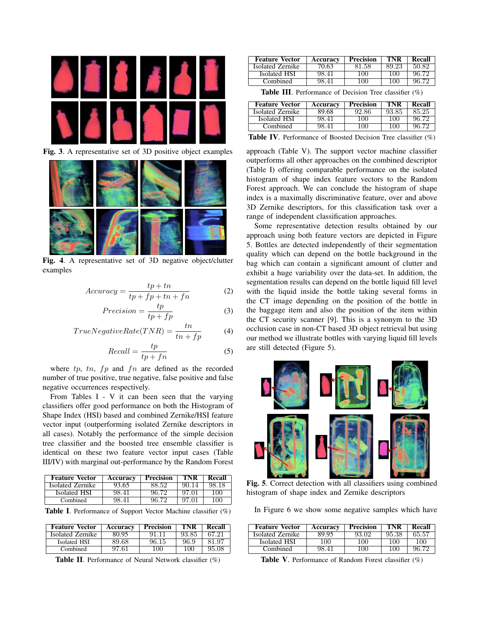

Fig. 3. A representative set of 3D positive object examples



Fig. 4. A representative set of 3D negative object/clutter examples

$$
Accuracy = \frac{tp + tn}{tp + fp + tn + fn}
$$
 (2)

$$
Precision = \frac{tp}{tp + fp} \tag{3}
$$

$$
TrueNegativeRate(TNR) = \frac{tn}{tn + fp}
$$
 (4)

$$
Recall = \frac{tp}{tp + fn} \tag{5}
$$

where  $tp$ ,  $tn$ ,  $fp$  and  $fn$  are defined as the recorded number of true positive, true negative, false positive and false negative occurrences respectively.

From Tables I - V it can been seen that the varying classifiers offer good performance on both the Histogram of Shape Index (HSI) based and combined Zernike/HSI feature vector input (outperforming isolated Zernike descriptors in all cases). Notably the performance of the simple decision tree classifier and the boosted tree ensemble classifier is identical on these two feature vector input cases (Table III/IV) with marginal out-performance by the Random Forest

| <b>Feature Vector</b> | Accuracy | <b>Precision</b> | TNR   | Recall |
|-----------------------|----------|------------------|-------|--------|
| Isolated Zernike      | 93.65    | 88.52            | 90.14 | 98.18  |
| Isolated HSI          | 98.41    | 96.72            | 97.01 | 100    |
| Combined              | 98.41    | 96.72            | 97.01 | 100    |

Table I. Performance of Support Vector Machine classifier (%)

| <b>Feature Vector</b> | <b>Accuracv</b> | Precision | I'NK     | Recall |
|-----------------------|-----------------|-----------|----------|--------|
| Isolated Zernike      | 80.95           |           | 93.85    |        |
| Isolated HSI          | 89.68           | 96.15     | 96.9     | u.     |
| Combined              | 97 61           | 70O.      | $\Omega$ | 95.08  |

Table II. Performance of Neural Network classifier (%)

| <b>Feature Vector</b> | <b>Accuracy</b> | <b>Precision</b> | TNR    | Recall |
|-----------------------|-----------------|------------------|--------|--------|
| Isolated Zernike      | 70.63           | 81.58            | 89.23  | 50. RQ |
| Isolated HSI          | 98.41           | 100              | -100 L | 96.79  |
| Combined              | 98.41           | 100              | 1 O C  |        |

Table III. Performance of Decision Tree classifier (%)

| <b>Feature Vector</b> | Accuracy | Precision | TNR    | Recall |
|-----------------------|----------|-----------|--------|--------|
| Isolated Zernike      | 89.68    | 92.86     | 93.85  | 85.25  |
| Isolated HSI          | 98.41    | 100       | 100    | 96 72  |
| Combined              | IX 41    | (1)       | 7 OG 1 |        |

Table IV. Performance of Boosted Decision Tree classifier (%)

approach (Table V). The support vector machine classifier outperforms all other approaches on the combined descriptor (Table I) offering comparable performance on the isolated histogram of shape index feature vectors to the Random Forest approach. We can conclude the histogram of shape index is a maximally discriminative feature, over and above 3D Zernike descriptors, for this classification task over a range of independent classification approaches.

Some representative detection results obtained by our approach using both feature vectors are depicted in Figure 5. Bottles are detected independently of their segmentation quality which can depend on the bottle background in the bag which can contain a significant amount of clutter and exhibit a huge variability over the data-set. In addition, the segmentation results can depend on the bottle liquid fill level with the liquid inside the bottle taking several forms in the CT image depending on the position of the bottle in the baggage item and also the position of the item within the CT security scanner [9]. This is a synonym to the 3D occlusion case in non-CT based 3D object retrieval but using our method we illustrate bottles with varying liquid fill levels are still detected (Figure 5).



Fig. 5. Correct detection with all classifiers using combined histogram of shape index and Zernike descriptors

In Figure 6 we show some negative samples which have

| <b>Feature Vector</b> | <b>Accuracv</b> | Precision | I'NK   | Recall |
|-----------------------|-----------------|-----------|--------|--------|
| Isolated Zernike      | xyyy            | 93 OZ     | 95.38  | 65.57  |
| Isolated HSI          | (1)             |           | . OC   | (      |
| Combined              |                 |           | $($ )( |        |

Table V. Performance of Random Forest classifier (%)